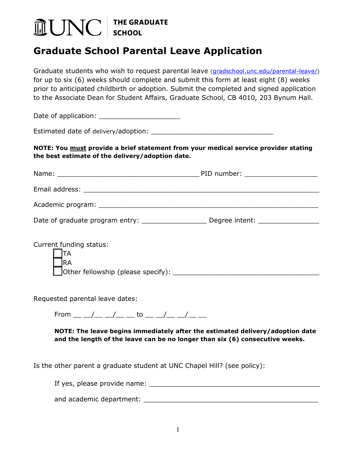## THE GRADUATE<br>SCHOOL **AUNC**

## *0B***Graduate School Parental Leave Application**

Graduate students who wish to request parental leave [\(gradschool.unc.edu/parental-leave/\)](https://gradschool.unc.edu/policies/student/parental-leave/) for up to six (6) weeks should complete and submit this form at least eight (8) weeks prior to anticipated childbirth or adoption. Submit the completed and signed application to the Associate Dean for Student Affairs, Graduate School, CB 4010, 203 Bynum Hall.

Date of application:

Estimated date of delivery/adoption: \_\_\_\_\_\_\_\_\_\_\_\_\_\_\_\_\_\_\_\_\_\_\_\_\_\_\_\_\_\_

**NOTE: You must provide a brief statement from your medical service provider stating the best estimate of the delivery/adoption date.**

|                         | PID number: _____________________ |
|-------------------------|-----------------------------------|
|                         |                                   |
|                         |                                   |
|                         |                                   |
|                         |                                   |
| Current funding status: |                                   |
| ΙA                      |                                   |
| <b>IRA</b>              |                                   |
|                         |                                   |

Requested parental leave dates:

From  $/$   $/$  to  $/$ 

**NOTE: The leave begins immediately after the estimated delivery/adoption date and the length of the leave can be no longer than six (6) consecutive weeks.**

Is the other parent a graduate student at UNC Chapel Hill? (see policy):

If yes, please provide name: \_\_\_\_\_\_\_\_\_\_\_\_\_\_\_\_\_\_\_\_\_\_\_\_\_\_\_\_\_\_\_\_\_\_\_\_\_\_\_\_\_\_

and academic department: \_\_\_\_\_\_\_\_\_\_\_\_\_\_\_\_\_\_\_\_\_\_\_\_\_\_\_\_\_\_\_\_\_\_\_\_\_\_\_\_\_\_\_